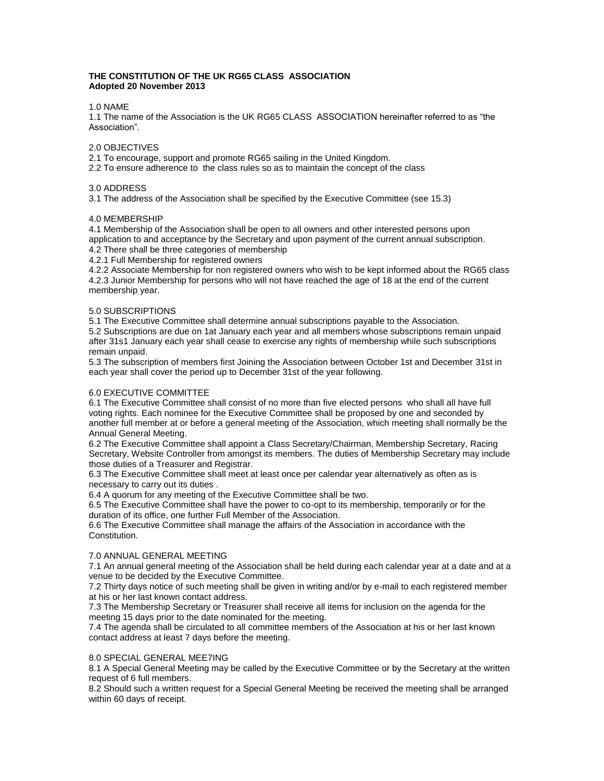# **THE CONSTITUTION OF THE UK RG65 CLASS ASSOCIATION Adopted 20 November 2013**

## 1.0 NAME

1.1 The name of the Association is the UK RG65 CLASS ASSOCIATION hereinafter referred to as "the Association".

## 2.0 OBJECTIVES

2.1 To encourage, support and promote RG65 sailing in the United Kingdom.

2.2 To ensure adherence to the class rules so as to maintain the concept of the class

## 3.0 ADDRESS

3.1 The address of the Association shall be specified by the Executive Committee (see 15.3)

## 4.0 MEMBERSHIP

4.1 Membership of the Association shall be open to all owners and other interested persons upon application to and acceptance by the Secretary and upon payment of the current annual subscription. 4.2 There shall be three categories of membership

4.2.1 Full Membership for registered owners

4.2.2 Associate Membership for non registered owners who wish to be kept informed about the RG65 class 4.2.3 Junior Membership for persons who will not have reached the age of 18 at the end of the current membership year.

## 5.0 SUBSCRIPTIONS

5.1 The Executive Committee shall determine annual subscriptions payable to the Association. 5.2 Subscriptions are due on 1at January each year and all members whose subscriptions remain unpaid after 31s1 January each year shall cease to exercise any rights of membership while such subscriptions remain unpaid.

5.3 The subscription of members first Joining the Association between October 1st and December 31st in each year shall cover the period up to December 31st of the year following.

# 6.0 EXECUTIVE COMMITTEE

6.1 The Executive Committee shall consist of no more than five elected persons who shall all have full voting rights. Each nominee for the Executive Committee shall be proposed by one and seconded by another full member at or before a general meeting of the Association, which meeting shall normally be the Annual General Meeting.

6.2 The Executive Committee shall appoint a Class Secretary/Chairman, Membership Secretary, Racing Secretary, Website Controller from amongst its members. The duties of Membership Secretary may include those duties of a Treasurer and Registrar.

6.3 The Executive Committee shall meet at least once per calendar year alternatively as often as is necessary to carry out its duties .

6.4 A quorum for any meeting of the Executive Committee shall be two.

6.5 The Executive Committee shall have the power to co-opt to its membership, temporarily or for the duration of its office, one further Full Member of the Association.

6.6 The Executive Committee shall manage the affairs of the Association in accordance with the Constitution.

# 7.0 ANNUAL GENERAL MEETING

7.1 An annual general meeting of the Association shall be held during each calendar year at a date and at a venue to be decided by the Executive Committee.

7.2 Thirty days notice of such meeting shall be given in writing and/or by e-mail to each registered member at his or her last known contact address.

7.3 The Membership Secretary or Treasurer shall receive all items for inclusion on the agenda for the meeting 15 days prior to the date nominated for the meeting.

7.4 The agenda shall be circulated to all committee members of the Association at his or her last known contact address at least 7 days before the meeting.

# 8.0 SPECIAL GENERAL MEE7ING

8.1 A Special General Meeting may be called by the Executive Committee or by the Secretary at the written request of 6 full members.

8.2 Should such a written request for a Special General Meeting be received the meeting shall be arranged within 60 days of receipt.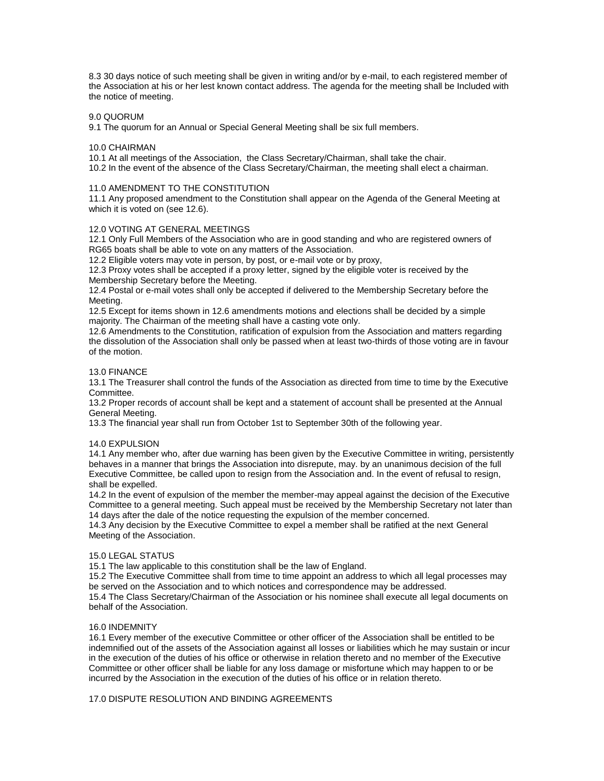8.3 30 days notice of such meeting shall be given in writing and/or by e-mail, to each registered member of the Association at his or her lest known contact address. The agenda for the meeting shall be Included with the notice of meeting.

# 9.0 QUORUM

9.1 The quorum for an Annual or Special General Meeting shall be six full members.

## 10.0 CHAIRMAN

10.1 At all meetings of the Association, the Class Secretary/Chairman, shall take the chair. 10.2 In the event of the absence of the Class Secretary/Chairman, the meeting shall elect a chairman.

### 11.0 AMENDMENT TO THE CONSTITUTION

11.1 Any proposed amendment to the Constitution shall appear on the Agenda of the General Meeting at which it is voted on (see 12.6).

### 12.0 VOTING AT GENERAL MEETINGS

12.1 Only Full Members of the Association who are in good standing and who are registered owners of RG65 boats shall be able to vote on any matters of the Association.

12.2 Eligible voters may vote in person, by post, or e-mail vote or by proxy,

12.3 Proxy votes shall be accepted if a proxy letter, signed by the eligible voter is received by the Membership Secretary before the Meeting.

12.4 Postal or e-mail votes shall only be accepted if delivered to the Membership Secretary before the Meeting.

12.5 Except for items shown in 12.6 amendments motions and elections shall be decided by a simple majority. The Chairman of the meeting shall have a casting vote only.

12.6 Amendments to the Constitution, ratification of expulsion from the Association and matters regarding the dissolution of the Association shall only be passed when at least two-thirds of those voting are in favour of the motion.

### 13.0 FINANCE

13.1 The Treasurer shall control the funds of the Association as directed from time to time by the Executive Committee.

13.2 Proper records of account shall be kept and a statement of account shall be presented at the Annual General Meeting.

13.3 The financial year shall run from October 1st to September 30th of the following year.

### 14.0 EXPULSION

14.1 Any member who, after due warning has been given by the Executive Committee in writing, persistently behaves in a manner that brings the Association into disrepute, may. by an unanimous decision of the full Executive Committee, be called upon to resign from the Association and. In the event of refusal to resign, shall be expelled.

14.2 In the event of expulsion of the member the member-may appeal against the decision of the Executive Committee to a general meeting. Such appeal must be received by the Membership Secretary not later than 14 days after the dale of the notice requesting the expulsion of the member concerned.

14.3 Any decision by the Executive Committee to expel a member shall be ratified at the next General Meeting of the Association.

### 15.0 LEGAL STATUS

15.1 The law applicable to this constitution shall be the law of England.

15.2 The Executive Committee shall from time to time appoint an address to which all legal processes may be served on the Association and to which notices and correspondence may be addressed.

15.4 The Class Secretary/Chairman of the Association or his nominee shall execute all legal documents on behalf of the Association.

### 16.0 INDEMNITY

16.1 Every member of the executive Committee or other officer of the Association shall be entitled to be indemnified out of the assets of the Association against all losses or liabilities which he may sustain or incur in the execution of the duties of his office or otherwise in relation thereto and no member of the Executive Committee or other officer shall be liable for any loss damage or misfortune which may happen to or be incurred by the Association in the execution of the duties of his office or in relation thereto.

17.0 DISPUTE RESOLUTION AND BINDING AGREEMENTS